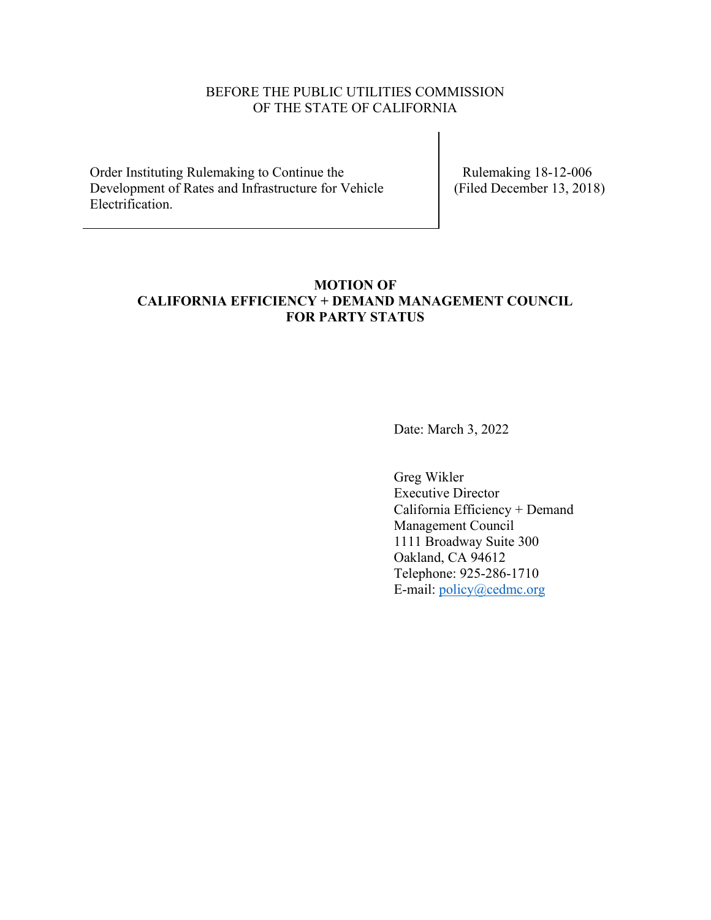# BEFORE THE PUBLIC UTILITIES COMMISSION OF THE STATE OF CALIFORNIA

Order Instituting Rulemaking to Continue the Development of Rates and Infrastructure for Vehicle Electrification.

 Rulemaking 18-12-006 (Filed December 13, 2018)

# **MOTION OF CALIFORNIA EFFICIENCY + DEMAND MANAGEMENT COUNCIL FOR PARTY STATUS**

Date: March 3, 2022

Greg Wikler Executive Director California Efficiency + Demand Management Council 1111 Broadway Suite 300 Oakland, CA 94612 Telephone: 925-286-1710 E-mail: [policy@cedmc.org](mailto:policy@cedmc.org)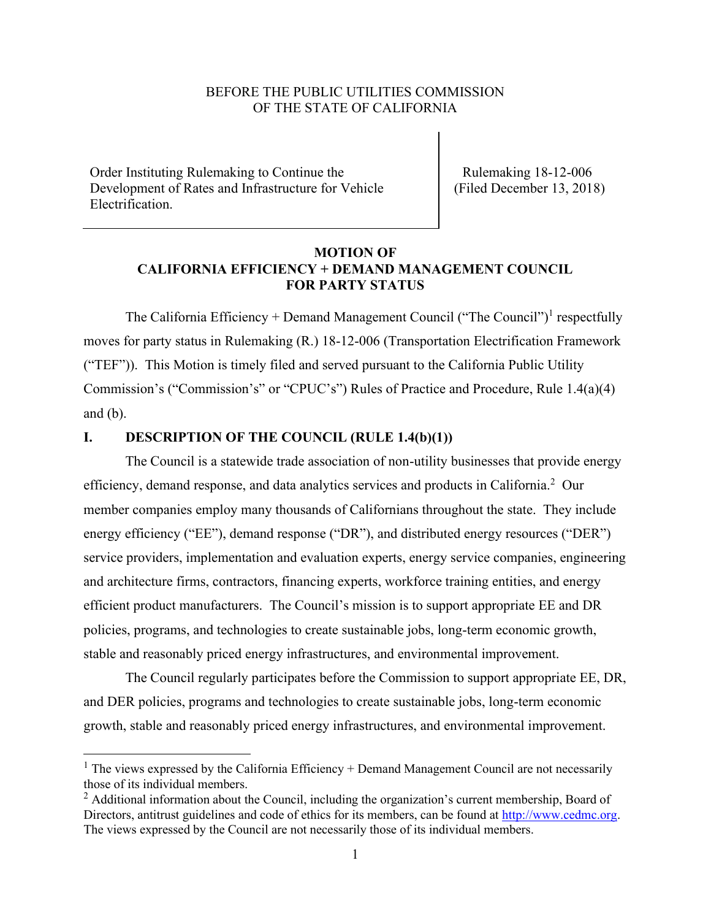#### BEFORE THE PUBLIC UTILITIES COMMISSION OF THE STATE OF CALIFORNIA

Order Instituting Rulemaking to Continue the Development of Rates and Infrastructure for Vehicle Electrification.

 Rulemaking 18-12-006 (Filed December 13, 2018)

# **MOTION OF CALIFORNIA EFFICIENCY + DEMAND MANAGEMENT COUNCIL FOR PARTY STATUS**

The California Efficiency + Demand Management Council ("The Council")<sup>1</sup> respectfully moves for party status in Rulemaking (R.) 18-12-006 (Transportation Electrification Framework ("TEF")). This Motion is timely filed and served pursuant to the California Public Utility Commission's ("Commission's" or "CPUC's") Rules of Practice and Procedure, Rule 1.4(a)(4) and (b).

## **I. DESCRIPTION OF THE COUNCIL (RULE 1.4(b)(1))**

The Council is a statewide trade association of non-utility businesses that provide energy efficiency, demand response, and data analytics services and products in California.<sup>2</sup> Our member companies employ many thousands of Californians throughout the state. They include energy efficiency ("EE"), demand response ("DR"), and distributed energy resources ("DER") service providers, implementation and evaluation experts, energy service companies, engineering and architecture firms, contractors, financing experts, workforce training entities, and energy efficient product manufacturers. The Council's mission is to support appropriate EE and DR policies, programs, and technologies to create sustainable jobs, long-term economic growth, stable and reasonably priced energy infrastructures, and environmental improvement.

The Council regularly participates before the Commission to support appropriate EE, DR, and DER policies, programs and technologies to create sustainable jobs, long-term economic growth, stable and reasonably priced energy infrastructures, and environmental improvement.

 $1$  The views expressed by the California Efficiency + Demand Management Council are not necessarily those of its individual members.

 $<sup>2</sup>$  Additional information about the Council, including the organization's current membership, Board of</sup> Directors, antitrust guidelines and code of ethics for its members, can be found at [http://www.cedmc.org.](about:blank) The views expressed by the Council are not necessarily those of its individual members.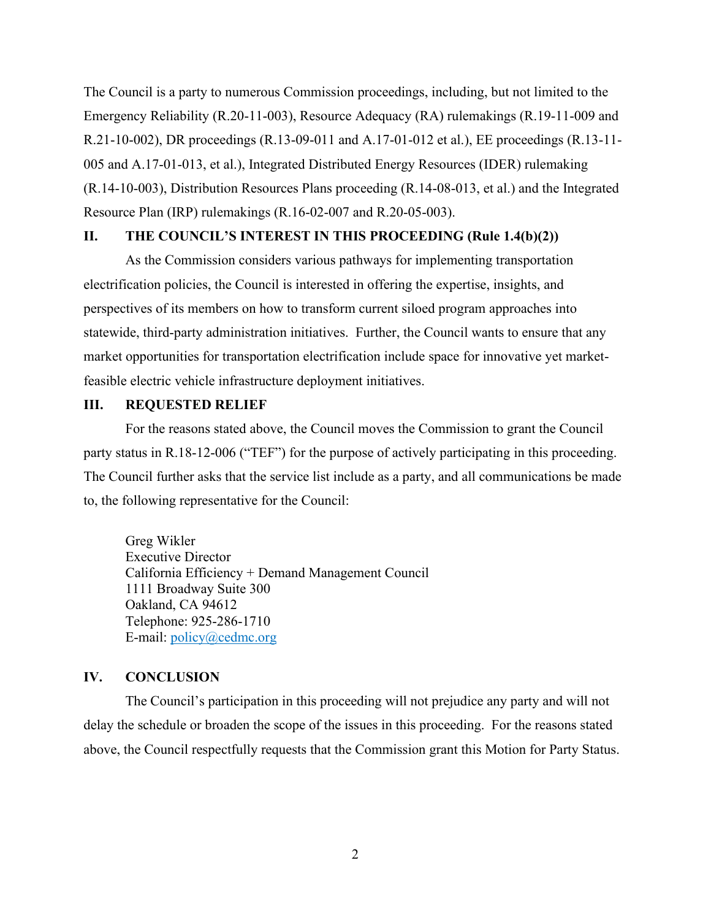The Council is a party to numerous Commission proceedings, including, but not limited to the Emergency Reliability (R.20-11-003), Resource Adequacy (RA) rulemakings (R.19-11-009 and R.21-10-002), DR proceedings (R.13-09-011 and A.17-01-012 et al.), EE proceedings (R.13-11- 005 and A.17-01-013, et al.), Integrated Distributed Energy Resources (IDER) rulemaking (R.14-10-003), Distribution Resources Plans proceeding (R.14-08-013, et al.) and the Integrated Resource Plan (IRP) rulemakings (R.16-02-007 and R.20-05-003).

#### **II. THE COUNCIL'S INTEREST IN THIS PROCEEDING (Rule 1.4(b)(2))**

As the Commission considers various pathways for implementing transportation electrification policies, the Council is interested in offering the expertise, insights, and perspectives of its members on how to transform current siloed program approaches into statewide, third-party administration initiatives. Further, the Council wants to ensure that any market opportunities for transportation electrification include space for innovative yet marketfeasible electric vehicle infrastructure deployment initiatives.

#### **III. REQUESTED RELIEF**

For the reasons stated above, the Council moves the Commission to grant the Council party status in R.18-12-006 ("TEF") for the purpose of actively participating in this proceeding. The Council further asks that the service list include as a party, and all communications be made to, the following representative for the Council:

Greg Wikler Executive Director California Efficiency + Demand Management Council 1111 Broadway Suite 300 Oakland, CA 94612 Telephone: 925-286-1710 E-mail: [policy@cedmc.org](mailto:policy@cedmc.org) 

# **IV. CONCLUSION**

The Council's participation in this proceeding will not prejudice any party and will not delay the schedule or broaden the scope of the issues in this proceeding. For the reasons stated above, the Council respectfully requests that the Commission grant this Motion for Party Status.